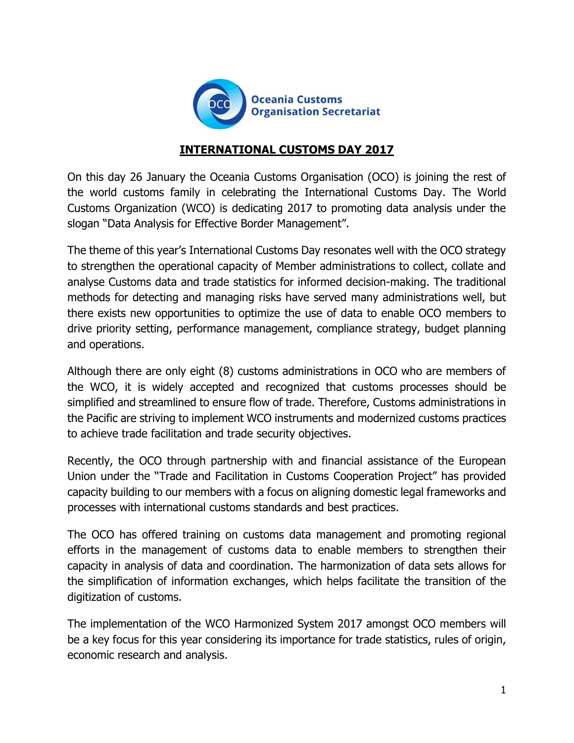

## **INTERNATIONAL CUSTOMS DAY 2017**

On this day 26 January the Oceania Customs Organisation (OCO) is joining the rest of the world customs family in celebrating the International Customs Day. The World Customs Organization (WCO) is dedicating 2017 to promoting data analysis under the slogan "Data Analysis for Effective Border Management".

The theme of this year's International Customs Day resonates well with the OCO strategy to strengthen the operational capacity of Member administrations to collect, collate and analyse Customs data and trade statistics for informed decision-making. The traditional methods for detecting and managing risks have served many administrations well, but there exists new opportunities to optimize the use of data to enable OCO members to drive priority setting, performance management, compliance strategy, budget planning and operations.

Although there are only eight (8) customs administrations in OCO who are members of the WCO, it is widely accepted and recognized that customs processes should be simplified and streamlined to ensure flow of trade. Therefore, Customs administrations in the Pacific are striving to implement WCO instruments and modernized customs practices to achieve trade facilitation and trade security objectives.

Recently, the OCO through partnership with and financial assistance of the European Union under the "Trade and Facilitation in Customs Cooperation Project" has provided capacity building to our members with a focus on aligning domestic legal frameworks and processes with international customs standards and best practices.

The OCO has offered training on customs data management and promoting regional efforts in the management of customs data to enable members to strengthen their capacity in analysis of data and coordination. The harmonization of data sets allows for the simplification of information exchanges, which helps facilitate the transition of the digitization of customs.

The implementation of the WCO Harmonized System 2017 amongst OCO members will be a key focus for this year considering its importance for trade statistics, rules of origin, economic research and analysis.